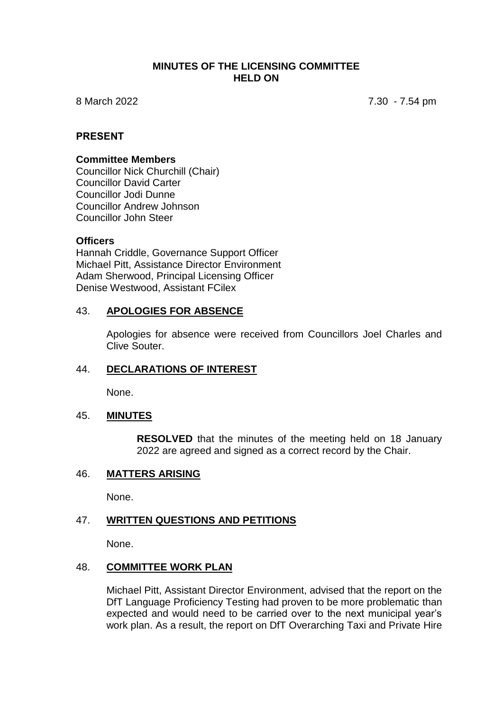#### **MINUTES OF THE LICENSING COMMITTEE HELD ON**

8 March 2022 7.30 - 7.54 pm

## **PRESENT**

#### **Committee Members**

Councillor Nick Churchill (Chair) Councillor David Carter Councillor Jodi Dunne Councillor Andrew Johnson Councillor John Steer

#### **Officers**

Hannah Criddle, Governance Support Officer Michael Pitt, Assistance Director Environment Adam Sherwood, Principal Licensing Officer Denise Westwood, Assistant FCilex

#### 43. **APOLOGIES FOR ABSENCE**

Apologies for absence were received from Councillors Joel Charles and Clive Souter.

#### 44. **DECLARATIONS OF INTEREST**

None.

#### 45. **MINUTES**

**RESOLVED** that the minutes of the meeting held on 18 January 2022 are agreed and signed as a correct record by the Chair.

#### 46. **MATTERS ARISING**

None.

### 47. **WRITTEN QUESTIONS AND PETITIONS**

None.

#### 48. **COMMITTEE WORK PLAN**

Michael Pitt, Assistant Director Environment, advised that the report on the DfT Language Proficiency Testing had proven to be more problematic than expected and would need to be carried over to the next municipal year's work plan. As a result, the report on DfT Overarching Taxi and Private Hire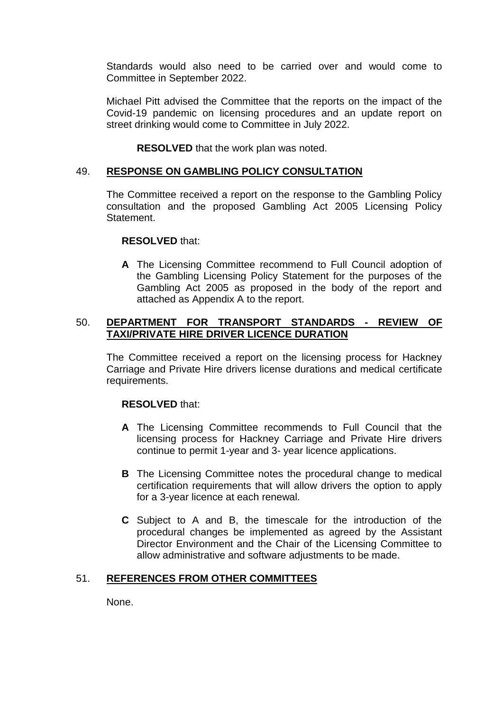Standards would also need to be carried over and would come to Committee in September 2022.

Michael Pitt advised the Committee that the reports on the impact of the Covid-19 pandemic on licensing procedures and an update report on street drinking would come to Committee in July 2022.

**RESOLVED** that the work plan was noted.

# 49. **RESPONSE ON GAMBLING POLICY CONSULTATION**

The Committee received a report on the response to the Gambling Policy consultation and the proposed Gambling Act 2005 Licensing Policy Statement.

## **RESOLVED** that:

**A** The Licensing Committee recommend to Full Council adoption of the Gambling Licensing Policy Statement for the purposes of the Gambling Act 2005 as proposed in the body of the report and attached as Appendix A to the report.

## 50. **DEPARTMENT FOR TRANSPORT STANDARDS - REVIEW OF TAXI/PRIVATE HIRE DRIVER LICENCE DURATION**

The Committee received a report on the licensing process for Hackney Carriage and Private Hire drivers license durations and medical certificate requirements.

# **RESOLVED** that:

- **A** The Licensing Committee recommends to Full Council that the licensing process for Hackney Carriage and Private Hire drivers continue to permit 1-year and 3- year licence applications.
- **B** The Licensing Committee notes the procedural change to medical certification requirements that will allow drivers the option to apply for a 3-year licence at each renewal.
- **C** Subject to A and B, the timescale for the introduction of the procedural changes be implemented as agreed by the Assistant Director Environment and the Chair of the Licensing Committee to allow administrative and software adjustments to be made.

# 51. **REFERENCES FROM OTHER COMMITTEES**

None.